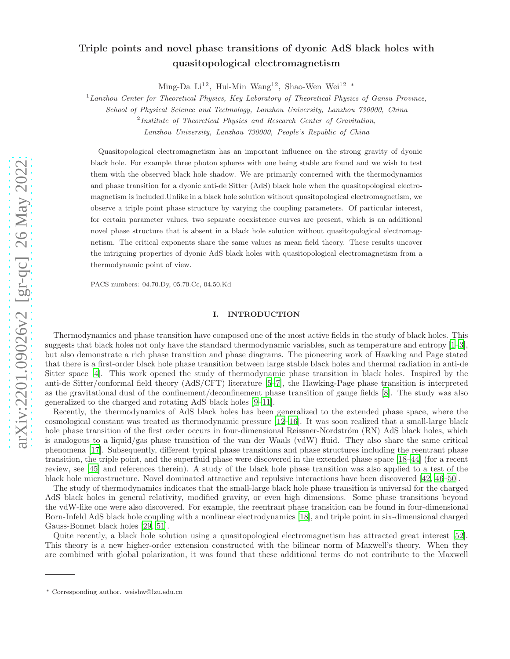# arXiv:2201.09026v2 [gr-qc] 26 May 2022 [arXiv:2201.09026v2 \[gr-qc\] 26 May 2022](http://arxiv.org/abs/2201.09026v2)

# Triple points and novel phase transitions of dyonic AdS black holes with quasitopological electromagnetism

Ming-Da Li<sup>12</sup>, Hui-Min Wang<sup>12</sup>, Shao-Wen Wei<sup>12 ∗</sup>

<sup>1</sup>*Lanzhou Center for Theoretical Physics, Key Laboratory of Theoretical Physics of Gansu Province,*

*School of Physical Science and Technology, Lanzhou University, Lanzhou 730000, China*

2 *Institute of Theoretical Physics and Research Center of Gravitation,*

*Lanzhou University, Lanzhou 730000, People's Republic of China*

Quasitopological electromagnetism has an important influence on the strong gravity of dyonic black hole. For example three photon spheres with one being stable are found and we wish to test them with the observed black hole shadow. We are primarily concerned with the thermodynamics and phase transition for a dyonic anti-de Sitter (AdS) black hole when the quasitopological electromagnetism is included.Unlike in a black hole solution without quasitopological electromagnetism, we observe a triple point phase structure by varying the coupling parameters. Of particular interest, for certain parameter values, two separate coexistence curves are present, which is an additional novel phase structure that is absent in a black hole solution without quasitopological electromagnetism. The critical exponents share the same values as mean field theory. These results uncover the intriguing properties of dyonic AdS black holes with quasitopological electromagnetism from a thermodynamic point of view.

PACS numbers: 04.70.Dy, 05.70.Ce, 04.50.Kd

### I. INTRODUCTION

Thermodynamics and phase transition have composed one of the most active fields in the study of black holes. This suggests that black holes not only have the standard thermodynamic variables, such as temperature and entropy  $[1-3]$ , but also demonstrate a rich phase transition and phase diagrams. The pioneering work of Hawking and Page stated that there is a first-order black hole phase transition between large stable black holes and thermal radiation in anti-de Sitter space [\[4](#page-15-2)]. This work opened the study of thermodynamic phase transition in black holes. Inspired by the anti-de Sitter/conformal field theory (AdS/CFT) literature [\[5](#page-15-3)[–7](#page-15-4)], the Hawking-Page phase transition is interpreted as the gravitational dual of the confinement/deconfinement phase transition of gauge fields [\[8](#page-15-5)]. The study was also generalized to the charged and rotating AdS black holes [\[9](#page-15-6)[–11\]](#page-15-7).

Recently, the thermodynamics of AdS black holes has been generalized to the extended phase space, where the cosmological constant was treated as thermodynamic pressure [\[12](#page-15-8)[–16](#page-15-9)]. It was soon realized that a small-large black hole phase transition of the first order occurs in four-dimensional Reissner-Nordström (RN) AdS black holes, which is analogous to a liquid/gas phase transition of the van der Waals (vdW) fluid. They also share the same critical phenomena [\[17](#page-15-10)]. Subsequently, different typical phase transitions and phase structures including the reentrant phase transition, the triple point, and the superfluid phase were discovered in the extended phase space [\[18](#page-15-11)[–44\]](#page-17-0) (for a recent review, see [\[45\]](#page-17-1) and references therein). A study of the black hole phase transition was also applied to a test of the black hole microstructure. Novel dominated attractive and repulsive interactions have been discovered [\[42,](#page-16-0) [46](#page-17-2)[–50\]](#page-17-3).

The study of thermodynamics indicates that the small-large black hole phase transition is universal for the charged AdS black holes in general relativity, modified gravity, or even high dimensions. Some phase transitions beyond the vdW-like one were also discovered. For example, the reentrant phase transition can be found in four-dimensional Born-Infeld AdS black hole coupling with a nonlinear electrodynamics [\[18](#page-15-11)], and triple point in six-dimensional charged Gauss-Bonnet black holes [\[29,](#page-16-1) [51\]](#page-17-4).

Quite recently, a black hole solution using a quasitopological electromagnetism has attracted great interest [\[52\]](#page-17-5). This theory is a new higher-order extension constructed with the bilinear norm of Maxwell's theory. When they are combined with global polarization, it was found that these additional terms do not contribute to the Maxwell

<sup>∗</sup> Corresponding author. weishw@lzu.edu.cn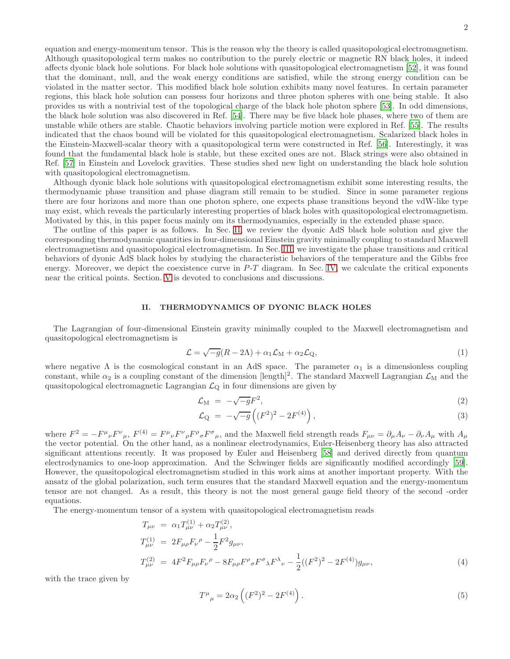equation and energy-momentum tensor. This is the reason why the theory is called quasitopological electromagnetism. Although quasitopological term makes no contribution to the purely electric or magnetic RN black holes, it indeed affects dyonic black hole solutions. For black hole solutions with quasitopological electromagnetism [\[52](#page-17-5)], it was found that the dominant, null, and the weak energy conditions are satisfied, while the strong energy condition can be violated in the matter sector. This modified black hole solution exhibits many novel features. In certain parameter regions, this black hole solution can possess four horizons and three photon spheres with one being stable. It also provides us with a nontrivial test of the topological charge of the black hole photon sphere [\[53\]](#page-17-6). In odd dimensions, the black hole solution was also discovered in Ref. [\[54](#page-17-7)]. There may be five black hole phases, where two of them are unstable while others are stable. Chaotic behaviors involving particle motion were explored in Ref. [\[55\]](#page-17-8). The results indicated that the chaos bound will be violated for this quasitopological electromagnetism. Scalarized black holes in the Einstein-Maxwell-scalar theory with a quasitopological term were constructed in Ref. [\[56](#page-17-9)]. Interestingly, it was found that the fundamental black hole is stable, but these excited ones are not. Black strings were also obtained in Ref. [\[57\]](#page-17-10) in Einstein and Lovelock gravities. These studies shed new light on understanding the black hole solution with quasitopological electromagnetism.

Although dyonic black hole solutions with quasitopological electromagnetism exhibit some interesting results, the thermodynamic phase transition and phase diagram still remain to be studied. Since in some parameter regions there are four horizons and more than one photon sphere, one expects phase transitions beyond the vdW-like type may exist, which reveals the particularly interesting properties of black holes with quasitopological electromagnetism. Motivated by this, in this paper focus mainly om its thermodynamics, especially in the extended phase space.

The outline of this paper is as follows. In Sec. [II,](#page-1-0) we review the dyonic AdS black hole solution and give the corresponding thermodynamic quantities in four-dimensional Einstein gravity minimally coupling to standard Maxwell electromagnetism and quasitopological electromagnetism. In Sec. [III,](#page-4-0) we investigate the phase transitions and critical behaviors of dyonic AdS black holes by studying the characteristic behaviors of the temperature and the Gibbs free energy. Moreover, we depict the coexistence curve in  $P-T$  diagram. In Sec. [IV,](#page-10-0) we calculate the critical exponents near the critical points. Section. [V](#page-14-0) is devoted to conclusions and discussions.

### <span id="page-1-0"></span>II. THERMODYNAMICS OF DYONIC BLACK HOLES

The Lagrangian of four-dimensional Einstein gravity minimally coupled to the Maxwell electromagnetism and quasitopological electromagnetism is

$$
\mathcal{L} = \sqrt{-g}(R - 2\Lambda) + \alpha_1 \mathcal{L}_M + \alpha_2 \mathcal{L}_Q, \tag{1}
$$

where negative  $\Lambda$  is the cosmological constant in an AdS space. The parameter  $\alpha_1$  is a dimensionless coupling constant, while  $\alpha_2$  is a coupling constant of the dimension [length]<sup>2</sup>. The standard Maxwell Lagrangian  $\mathcal{L}_M$  and the quasitopological electromagnetic Lagrangian  $\mathcal{L}_{\mathcal{Q}}$  in four dimensions are given by

$$
\mathcal{L}_{\mathrm{M}} = -\sqrt{-g}F^{2},\tag{2}
$$

$$
\mathcal{L}_{Q} = -\sqrt{-g} \left( (F^2)^2 - 2F^{(4)} \right), \tag{3}
$$

where  $F^2 = -F^{\mu}{}_{\nu}F^{\nu}{}_{\mu}F^{\mu}{}_{\rho}F^{\rho}{}_{\sigma}F^{\sigma}{}_{\mu}$ , and the Maxwell field strength reads  $F_{\mu\nu} = \partial_{\mu}A_{\nu} - \partial_{\nu}A_{\mu}$  with  $A_{\mu}$ the vector potential. On the other hand, as a nonlinear electrodynamics, Euler-Heisenberg theory has also attracted significant attentions recently. It was proposed by Euler and Heisenberg [\[58\]](#page-17-11) and derived directly from quantum electrodynamics to one-loop approximation. And the Schwinger fields are significantly modified accordingly [\[59\]](#page-17-12). However, the quasitopological electromagnetism studied in this work aims at another important property. With the ansatz of the global polarization, such term ensures that the standard Maxwell equation and the energy-momentum tensor are not changed. As a result, this theory is not the most general gauge field theory of the second -order equations.

The energy-momentum tensor of a system with quasitopological electromagnetism reads

$$
T_{\mu\nu} = \alpha_1 T_{\mu\nu}^{(1)} + \alpha_2 T_{\mu\nu}^{(2)},
$$
  
\n
$$
T_{\mu\nu}^{(1)} = 2F_{\mu\rho}F_{\nu}{}^{\rho} - \frac{1}{2}F^2g_{\mu\nu},
$$
  
\n
$$
T_{\mu\nu}^{(2)} = 4F^2F_{\mu\rho}F_{\nu}{}^{\rho} - 8F_{\mu\rho}F^{\rho}{}_{\sigma}F^{\sigma}{}_{\lambda}F^{\lambda}{}_{\nu} - \frac{1}{2}((F^2)^2 - 2F^{(4)})g_{\mu\nu},
$$
\n(4)

with the trace given by

$$
T^{\mu}_{\ \mu} = 2\alpha_2 \left( (F^2)^2 - 2F^{(4)} \right). \tag{5}
$$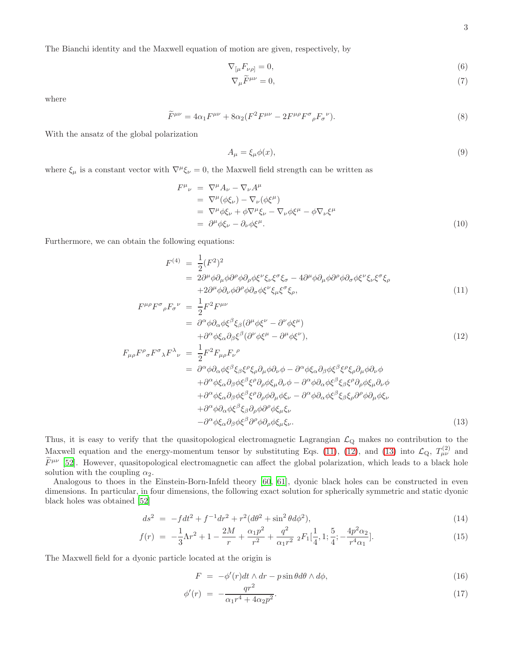The Bianchi identity and the Maxwell equation of motion are given, respectively, by

$$
\nabla_{\left[\mu}F_{\nu\rho\right]}=0,\tag{6}
$$

$$
\nabla_{\mu}\widetilde{F}^{\mu\nu} = 0,\tag{7}
$$

where

$$
\widetilde{F}^{\mu\nu} = 4\alpha_1 F^{\mu\nu} + 8\alpha_2 (F^2 F^{\mu\nu} - 2F^{\mu\rho} F^{\sigma}{}_{\rho} F_{\sigma}{}^{\nu}).\tag{8}
$$

With the ansatz of the global polarization

$$
A_{\mu} = \xi_{\mu}\phi(x),\tag{9}
$$

where  $\xi_{\mu}$  is a constant vector with  $\nabla^{\mu}\xi_{\nu} = 0$ , the Maxwell field strength can be written as

$$
F^{\mu}{}_{\nu} = \nabla^{\mu} A_{\nu} - \nabla_{\nu} A^{\mu}
$$
  
\n
$$
= \nabla^{\mu} (\phi \xi_{\nu}) - \nabla_{\nu} (\phi \xi^{\mu})
$$
  
\n
$$
= \nabla^{\mu} \phi \xi_{\nu} + \phi \nabla^{\mu} \xi_{\nu} - \nabla_{\nu} \phi \xi^{\mu} - \phi \nabla_{\nu} \xi^{\mu}
$$
  
\n
$$
= \partial^{\mu} \phi \xi_{\nu} - \partial_{\nu} \phi \xi^{\mu}.
$$
\n(10)

Furthermore, we can obtain the following equations:

<span id="page-2-0"></span>
$$
F^{(4)} = \frac{1}{2} (F^2)^2
$$
  
=  $2\partial^{\mu} \phi \partial_{\mu} \phi \partial^{\rho} \phi \partial_{\rho} \phi \xi^{\nu} \xi_{\nu} \xi^{\sigma} \xi_{\sigma} - 4\partial^{\mu} \phi \partial_{\mu} \phi \partial^{\rho} \phi \partial_{\sigma} \phi \xi^{\nu} \xi_{\nu} \xi^{\sigma} \xi_{\rho}$   
+  $2\partial^{\mu} \phi \partial_{\nu} \phi \partial^{\rho} \phi \partial_{\sigma} \phi \xi^{\nu} \xi_{\mu} \xi^{\sigma} \xi_{\rho},$  (11)

$$
F^{\mu\rho}F^{\sigma}{}_{\rho}F_{\sigma}{}^{\nu} = \frac{1}{2}F^{2}F^{\mu\nu}
$$
  
=  $\partial^{\alpha}\phi\partial_{\alpha}\phi\xi^{\beta}\xi_{\beta}(\partial^{\mu}\phi\xi^{\nu} - \partial^{\nu}\phi\xi^{\mu})$   
+  $\partial^{\alpha}\phi\xi\partial_{\alpha}\xi^{\beta}(\partial^{\nu}\phi\xi^{\mu} - \partial^{\mu}\phi\xi^{\nu})$  (12)

$$
+ \partial^{\alpha}\phi \xi_{\alpha}\partial_{\beta}\xi^{\beta} (\partial^{\nu}\phi \xi^{\mu} - \partial^{\mu}\phi \xi^{\nu}), \qquad (12)
$$
  
\n
$$
F_{\mu\rho}F^{\rho}{}_{\sigma}F^{\sigma}{}_{\lambda}F^{\lambda}{}_{\nu} = \frac{1}{2}F^{2}F_{\mu\rho}F_{\nu}{}^{\rho}
$$
  
\n
$$
= \partial^{\alpha}\phi \partial_{\alpha}\phi \xi^{\beta} \xi_{\beta}\xi^{\rho} \xi_{\rho} \partial_{\mu}\phi \partial_{\nu}\phi - \partial^{\alpha}\phi \xi_{\alpha}\partial_{\beta}\phi \xi^{\beta} \xi^{\rho} \xi_{\rho} \partial_{\mu}\phi \partial_{\nu}\phi
$$
  
\n
$$
+ \partial^{\alpha}\phi \xi_{\alpha}\partial_{\beta}\phi \xi^{\beta} \xi^{\rho} \partial_{\rho}\phi \xi_{\mu} \partial_{\nu}\phi - \partial^{\alpha}\phi \partial_{\alpha}\phi \xi^{\beta} \xi_{\beta}\xi^{\rho} \partial_{\rho}\phi \xi_{\mu} \partial_{\nu}\phi
$$
  
\n
$$
+ \partial^{\alpha}\phi \xi_{\alpha}\partial_{\beta}\phi \xi^{\beta} \xi^{\rho} \partial_{\rho}\phi \partial_{\mu}\phi \xi_{\nu} - \partial^{\alpha}\phi \partial_{\alpha}\phi \xi^{\beta} \xi_{\beta}\xi_{\rho} \partial^{\rho}\phi \partial_{\mu}\phi \xi_{\nu}
$$
  
\n
$$
+ \partial^{\alpha}\phi \partial_{\alpha}\phi \xi^{\beta} \xi_{\beta} \partial_{\rho}\phi \partial^{\rho}\phi \xi_{\mu} \xi_{\nu}.
$$
  
\n
$$
- \partial^{\alpha}\phi \xi_{\alpha}\partial_{\beta}\phi \xi^{\beta} \partial^{\rho}\phi \partial_{\rho}\phi \xi_{\mu} \xi_{\nu}.
$$
  
\n(13)

Thus, it is easy to verify that the quasitopological electromagnetic Lagrangian  $\mathcal{L}_{Q}$  makes no contribution to the Maxwell equation and the energy-momentum tensor by substituting Eqs. [\(11\)](#page-2-0), [\(12\)](#page-2-0), and [\(13\)](#page-2-0) into  $\mathcal{L}_{Q}$ ,  $T_{\mu\nu}^{(2)}$  and  $\widetilde{F}^{\mu\nu}$  [\[52](#page-17-5)]. However, quasitopological electromagnetic can affect the global polarization, which leads to a black hole solution with the coupling  $\alpha_2$ .

Analogous to thoes in the Einstein-Born-Infeld theory [\[60](#page-17-13), [61\]](#page-17-14), dyonic black holes can be constructed in even dimensions. In particular, in four dimensions, the following exact solution for spherically symmetric and static dyonic black holes was obtained [\[52\]](#page-17-5)

$$
ds^{2} = -fdt^{2} + f^{-1}dr^{2} + r^{2}(d\theta^{2} + \sin^{2}\theta d\phi^{2}),
$$
\n(14)

$$
f(r) = -\frac{1}{3}\Lambda r^2 + 1 - \frac{2M}{r} + \frac{\alpha_1 p^2}{r^2} + \frac{q^2}{\alpha_1 r^2} \;_2F_1[\frac{1}{4}, 1; \frac{5}{4}; -\frac{4p^2 \alpha_2}{r^4 \alpha_1}].\tag{15}
$$

The Maxwell field for a dyonic particle located at the origin is

$$
F = -\phi'(r)dt \wedge dr - p\sin\theta d\theta \wedge d\phi, \qquad (16)
$$

$$
\phi'(r) = -\frac{qr^2}{\alpha_1 r^4 + 4\alpha_2 p^2}.\tag{17}
$$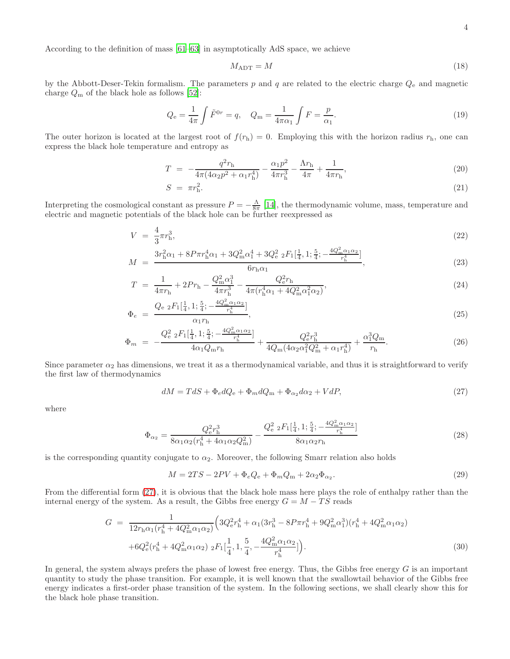According to the definition of mass [\[61](#page-17-14)[–63\]](#page-17-15) in asymptotically AdS space, we achieve

$$
M_{\rm ADT} = M \tag{18}
$$

by the Abbott-Deser-Tekin formalism. The parameters p and q are related to the electric charge  $Q_e$  and magnetic charge  $Q_m$  of the black hole as follows [\[52\]](#page-17-5):

$$
Q_{\rm e} = \frac{1}{4\pi} \int \tilde{F}^{0r} = q, \quad Q_{\rm m} = \frac{1}{4\pi\alpha_1} \int F = \frac{p}{\alpha_1}.
$$
\n(19)

The outer horizon is located at the largest root of  $f(r_h) = 0$ . Employing this with the horizon radius  $r_h$ , one can express the black hole temperature and entropy as

$$
T = -\frac{q^2 r_{\rm h}}{4\pi (4\alpha_2 p^2 + \alpha_1 r_{\rm h}^4)} - \frac{\alpha_1 p^2}{4\pi r_{\rm h}^3} - \frac{\Lambda r_{\rm h}}{4\pi} + \frac{1}{4\pi r_{\rm h}},\tag{20}
$$

$$
S = \pi r_{\rm h}^2. \tag{21}
$$

Interpreting the cosmological constant as pressure  $P = -\frac{\Lambda}{8\pi}$  [\[14](#page-15-12)], the thermodynamic volume, mass, temperature and electric and magnetic potentials of the black hole can be further reexpressed as

<span id="page-3-1"></span>
$$
V = \frac{4}{3}\pi r_{\rm h}^3,\tag{22}
$$

$$
M = \frac{3r_h^2\alpha_1 + 8P\pi r_h^4\alpha_1 + 3Q_m^2\alpha_1^4 + 3Q_e^2\,{}_2F_1[\frac{1}{4}, 1; \frac{5}{4}; -\frac{4Q_m^2\alpha_1\alpha_2}{r_h^4}]}{6r_h\alpha_1},\tag{23}
$$

$$
T = \frac{1}{4\pi r_{\rm h}} + 2Pr_{\rm h} - \frac{Q_{\rm m}^2 \alpha_1^3}{4\pi r_{\rm h}^3} - \frac{Q_{\rm e}^2 r_{\rm h}}{4\pi (r_{\rm h}^4 \alpha_1 + 4Q_{\rm m}^2 \alpha_1^2 \alpha_2)},\tag{24}
$$

$$
\Phi_e = \frac{Q_{\rm e} \, {}_2F_1[\frac{1}{4}, 1; \frac{5}{4}; -\frac{4Q_{\rm m}^2 \alpha_1 \alpha_2}{r_{\rm h}^4}]}{\alpha_1 r_{\rm h}},\tag{25}
$$

$$
\Phi_m = -\frac{Q_e^2 \, {}_2F_1[\frac{1}{4}, 1; \frac{5}{4}; -\frac{4Q_m^2 \alpha_1 \alpha_2}{r_h^4}]}{4\alpha_1 Q_m r_h} + \frac{Q_e^2 r_h^3}{4Q_m (4\alpha_2 \alpha_1^2 Q_m^2 + \alpha_1 r_h^4)} + \frac{\alpha_1^3 Q_m}{r_h}.
$$
\n(26)

Since parameter  $\alpha_2$  has dimensions, we treat it as a thermodynamical variable, and thus it is straightforward to verify the first law of thermodynamics

<span id="page-3-0"></span>
$$
dM = TdS + \Phi_e dQ_e + \Phi_m dQ_m + \Phi_{\alpha_2} d\alpha_2 + VdP,
$$
\n<sup>(27)</sup>

where

$$
\Phi_{\alpha_2} = \frac{Q_{\rm e}^2 r_{\rm h}^3}{8\alpha_1 \alpha_2 (r_{\rm h}^4 + 4\alpha_1 \alpha_2 Q_{\rm m}^2)} - \frac{Q_{\rm e}^2 {}_{2}F_1[\frac{1}{4}, 1; \frac{5}{4}; -\frac{4Q_{\rm m}^2 \alpha_1 \alpha_2}{r_{\rm h}^4}]}{8\alpha_1 \alpha_2 r_{\rm h}}
$$
\n(28)

is the corresponding quantity conjugate to  $\alpha_2$ . Moreover, the following Smarr relation also holds

$$
M = 2TS - 2PV + \Phi_e Q_e + \Phi_m Q_m + 2\alpha_2 \Phi_{\alpha_2}.
$$
\n
$$
(29)
$$

From the differential form [\(27\)](#page-3-0), it is obvious that the black hole mass here plays the role of enthalpy rather than the internal energy of the system. As a result, the Gibbs free energy  $G = M - TS$  reads

$$
G = \frac{1}{12r_{h}\alpha_{1}(r_{h}^{4} + 4Q_{m}^{2}\alpha_{1}\alpha_{2})} \Big( 3Q_{e}^{2}r_{h}^{4} + \alpha_{1}(3r_{h}^{3} - 8P\pi r_{h}^{4} + 9Q_{m}^{2}\alpha_{1}^{3})(r_{h}^{4} + 4Q_{m}^{2}\alpha_{1}\alpha_{2}) + 6Q_{e}^{2}(r_{h}^{4} + 4Q_{m}^{2}\alpha_{1}\alpha_{2}) \,_{2}F_{1}[\frac{1}{4}, 1, \frac{5}{4}, -\frac{4Q_{m}^{2}\alpha_{1}\alpha_{2}}{r_{h}^{4}}] \Big). \tag{30}
$$

In general, the system always prefers the phase of lowest free energy. Thus, the Gibbs free energy  $G$  is an important quantity to study the phase transition. For example, it is well known that the swallowtail behavior of the Gibbs free energy indicates a first-order phase transition of the system. In the following sections, we shall clearly show this for the black hole phase transition.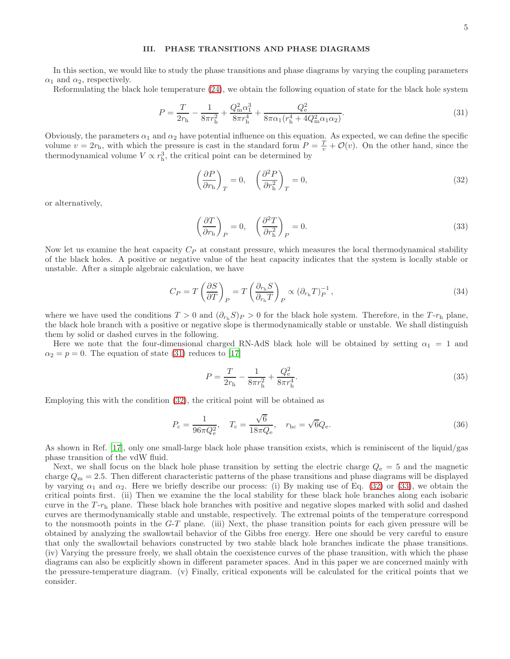### <span id="page-4-0"></span>III. PHASE TRANSITIONS AND PHASE DIAGRAMS

In this section, we would like to study the phase transitions and phase diagrams by varying the coupling parameters  $\alpha_1$  and  $\alpha_2$ , respectively.

Reformulating the black hole temperature [\(24\)](#page-3-1), we obtain the following equation of state for the black hole system

<span id="page-4-1"></span>
$$
P = \frac{T}{2r_{\rm h}} - \frac{1}{8\pi r_{\rm h}^2} + \frac{Q_{\rm m}^2 \alpha_1^3}{8\pi r_{\rm h}^4} + \frac{Q_{\rm e}^2}{8\pi \alpha_1 (r_{\rm h}^4 + 4Q_{\rm m}^2 \alpha_1 \alpha_2)}.
$$
(31)

Obviously, the parameters  $\alpha_1$  and  $\alpha_2$  have potential influence on this equation. As expected, we can define the specific volume  $v = 2r_h$ , with which the pressure is cast in the standard form  $P = \frac{T}{v} + \mathcal{O}(v)$ . On the other hand, since the thermodynamical volume  $V \propto r_h^3$ , the critical point can be determined by

<span id="page-4-2"></span>
$$
\left(\frac{\partial P}{\partial r_{\rm h}}\right)_T = 0, \quad \left(\frac{\partial^2 P}{\partial r_{\rm h}^2}\right)_T = 0,\tag{32}
$$

or alternatively,

<span id="page-4-3"></span>
$$
\left(\frac{\partial T}{\partial r_{\rm h}}\right)_P = 0, \quad \left(\frac{\partial^2 T}{\partial r_{\rm h}^2}\right)_P = 0.
$$
\n(33)

Now let us examine the heat capacity  $C_P$  at constant pressure, which measures the local thermodynamical stability of the black holes. A positive or negative value of the heat capacity indicates that the system is locally stable or unstable. After a simple algebraic calculation, we have

$$
C_P = T \left(\frac{\partial S}{\partial T}\right)_P = T \left(\frac{\partial_{r_{\rm h}} S}{\partial_{r_{\rm h}} T}\right)_P \propto (\partial_{r_{\rm h}} T)_P^{-1},\tag{34}
$$

where we have used the conditions  $T > 0$  and  $(\partial_{r_h} S)_P > 0$  for the black hole system. Therefore, in the  $T$ - $r_h$  plane, the black hole branch with a positive or negative slope is thermodynamically stable or unstable. We shall distinguish them by solid or dashed curves in the following.

Here we note that the four-dimensional charged RN-AdS black hole will be obtained by setting  $\alpha_1 = 1$  and  $\alpha_2 = p = 0$ . The equation of state [\(31\)](#page-4-1) reduces to [\[17\]](#page-15-10)

$$
P = \frac{T}{2r_{\rm h}} - \frac{1}{8\pi r_{\rm h}^2} + \frac{Q_{\rm e}^2}{8\pi r_{\rm h}^4}.\tag{35}
$$

Employing this with the condition [\(32\)](#page-4-2), the critical point will be obtained as

$$
P_{\rm c} = \frac{1}{96\pi Q_{\rm e}^2}, \quad T_{\rm c} = \frac{\sqrt{6}}{18\pi Q_{\rm e}}, \quad r_{\rm hc} = \sqrt{6}Q_{\rm e}.
$$
 (36)

As shown in Ref. [\[17](#page-15-10)], only one small-large black hole phase transition exists, which is reminiscent of the liquid/gas phase transition of the vdW fluid.

Next, we shall focus on the black hole phase transition by setting the electric charge  $Q_e = 5$  and the magnetic charge  $Q_{\rm m} = 2.5$ . Then different characteristic patterns of the phase transitions and phase diagrams will be displayed by varying  $\alpha_1$  and  $\alpha_2$ . Here we briefly describe our process: (i) By making use of Eq. [\(32\)](#page-4-2) or [\(33\)](#page-4-3), we obtain the critical points first. (ii) Then we examine the the local stability for these black hole branches along each isobaric curve in the T-r<sub>h</sub> plane. These black hole branches with positive and negative slopes marked with solid and dashed curves are thermodynamically stable and unstable, respectively. The extremal points of the temperature correspond to the nonsmooth points in the  $G-T$  plane. (iii) Next, the phase transition points for each given pressure will be obtained by analyzing the swallowtail behavior of the Gibbs free energy. Here one should be very careful to ensure that only the swallowtail behaviors constructed by two stable black hole branches indicate the phase transitions. (iv) Varying the pressure freely, we shall obtain the coexistence curves of the phase transition, with which the phase diagrams can also be explicitly shown in different parameter spaces. And in this paper we are concerned mainly with the pressure-temperature diagram. (v) Finally, critical exponents will be calculated for the critical points that we consider.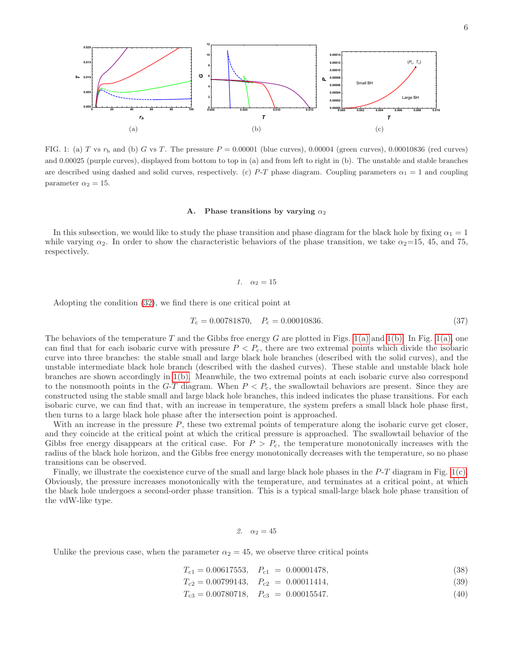<span id="page-5-0"></span>

FIG. 1: (a) T vs  $r<sub>h</sub>$  and (b) G vs T. The pressure  $P = 0.00001$  (blue curves), 0.00004 (green curves), 0.00010836 (red curves) and 0.00025 (purple curves), displayed from bottom to top in (a) and from left to right in (b). The unstable and stable branches are described using dashed and solid curves, respectively. (c) P-T phase diagram. Coupling parameters  $\alpha_1 = 1$  and coupling parameter  $\alpha_2 = 15$ .

### <span id="page-5-2"></span><span id="page-5-1"></span>A. Phase transitions by varying  $\alpha_2$

In this subsection, we would like to study the phase transition and phase diagram for the black hole by fixing  $\alpha_1 = 1$ while varying  $\alpha_2$ . In order to show the characteristic behaviors of the phase transition, we take  $\alpha_2$ =15, 45, and 75, respectively.

### *1.*  $\alpha_2 = 15$

Adopting the condition [\(32\)](#page-4-2), we find there is one critical point at

$$
T_{\rm c} = 0.00781870, \quad P_{\rm c} = 0.00010836. \tag{37}
$$

The behaviors of the temperature T and the Gibbs free energy G are plotted in Figs. [1\(a\)](#page-5-0) and [1\(b\).](#page-5-1) In Fig. [1\(a\),](#page-5-0) one can find that for each isobaric curve with pressure  $P < P<sub>c</sub>$ , there are two extremal points which divide the isobaric curve into three branches: the stable small and large black hole branches (described with the solid curves), and the unstable intermediate black hole branch (described with the dashed curves). These stable and unstable black hole branches are shown accordingly in [1\(b\).](#page-5-1) Meanwhile, the two extremal points at each isobaric curve also correspond to the nonsmooth points in the  $G-T$  diagram. When  $P < P_c$ , the swallowtail behaviors are present. Since they are constructed using the stable small and large black hole branches, this indeed indicates the phase transitions. For each isobaric curve, we can find that, with an increase in temperature, the system prefers a small black hole phase first, then turns to a large black hole phase after the intersection point is approached.

With an increase in the pressure  $P$ , these two extremal points of temperature along the isobaric curve get closer, and they coincide at the critical point at which the critical pressure is approached. The swallowtail behavior of the Gibbs free energy disappears at the critical case. For  $P > P_c$ , the temperature monotonically increases with the radius of the black hole horizon, and the Gibbs free energy monotonically decreases with the temperature, so no phase transitions can be observed.

Finally, we illustrate the coexistence curve of the small and large black hole phases in the P-T diagram in Fig. [1\(c\).](#page-5-2) Obviously, the pressure increases monotonically with the temperature, and terminates at a critical point, at which the black hole undergoes a second-order phase transition. This is a typical small-large black hole phase transition of the vdW-like type.

## *2.*  $\alpha_2 = 45$

Unlike the previous case, when the parameter  $\alpha_2 = 45$ , we observe three critical points

$$
T_{c1} = 0.00617553, \quad P_{c1} = 0.00001478,\tag{38}
$$

 $T_{c2} = 0.00799143, \quad P_{c2} = 0.00011414,$  (39)

$$
T_{c3} = 0.00780718, \quad P_{c3} = 0.00015547. \tag{40}
$$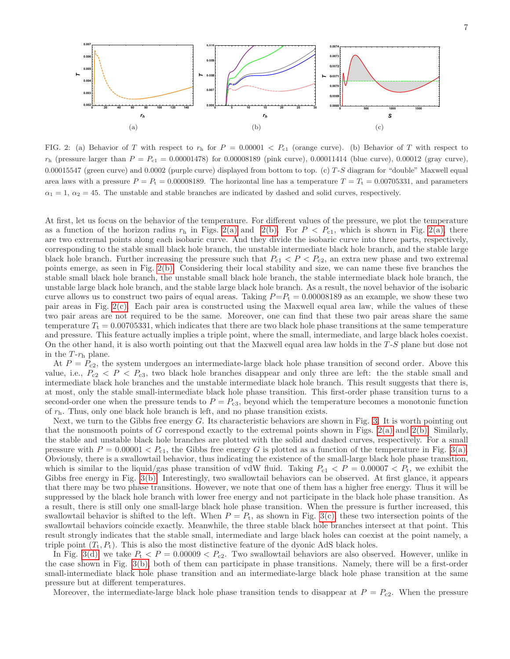<span id="page-6-2"></span><span id="page-6-1"></span><span id="page-6-0"></span>

FIG. 2: (a) Behavior of T with respect to  $r_h$  for  $P = 0.00001 < P_{c1}$  (orange curve). (b) Behavior of T with respect to  $r<sub>h</sub>$  (pressure larger than  $P = P<sub>c1</sub> = 0.00001478$ ) for 0.00008189 (pink curve), 0.00011414 (blue curve), 0.00012 (gray curve), 0.00015547 (green curve) and 0.0002 (purple curve) displayed from bottom to top. (c)  $T-S$  diagram for "double" Maxwell equal area laws with a pressure  $P = P_t = 0.00008189$ . The horizontal line has a temperature  $T = T_t = 0.00705331$ , and parameters  $\alpha_1 = 1$ ,  $\alpha_2 = 45$ . The unstable and stable branches are indicated by dashed and solid curves, respectively.

At first, let us focus on the behavior of the temperature. For different values of the pressure, we plot the temperature as a function of the horizon radius  $r<sub>h</sub>$  in Figs. [2\(a\)](#page-6-0) and [2\(b\).](#page-6-1) For  $P < P<sub>c1</sub>$ , which is shown in Fig. [2\(a\),](#page-6-0) there are two extremal points along each isobaric curve. And they divide the isobaric curve into three parts, respectively, corresponding to the stable small black hole branch, the unstable intermediate black hole branch, and the stable large black hole branch. Further increasing the pressure such that  $P_{c1} < P < P_{c2}$ , an extra new phase and two extremal points emerge, as seen in Fig. [2\(b\).](#page-6-1) Considering their local stability and size, we can name these five branches the stable small black hole branch, the unstable small black hole branch, the stable intermediate black hole branch, the unstable large black hole branch, and the stable large black hole branch. As a result, the novel behavior of the isobaric curve allows us to construct two pairs of equal areas. Taking  $P=P_t = 0.00008189$  as an example, we show these two pair areas in Fig. [2\(c\).](#page-6-2) Each pair area is constructed using the Maxwell equal area law, while the values of these two pair areas are not required to be the same. Moreover, one can find that these two pair areas share the same temperature  $T_t = 0.00705331$ , which indicates that there are two black hole phase transitions at the same temperature and pressure. This feature actually implies a triple point, where the small, intermediate, and large black holes coexist. On the other hand, it is also worth pointing out that the Maxwell equal area law holds in the T -S plane but dose not in the  $T$ - $r<sub>h</sub>$  plane.

At  $P = P_{c2}$ , the system undergoes an intermediate-large black hole phase transition of second order. Above this value, i.e.,  $P_{c2} < P < P_{c3}$ , two black hole branches disappear and only three are left: the the stable small and intermediate black hole branches and the unstable intermediate black hole branch. This result suggests that there is, at most, only the stable small-intermediate black hole phase transition. This first-order phase transition turns to a second-order one when the pressure tends to  $P = P_{c3}$ , beyond which the temperature becomes a monotonic function of  $r<sub>h</sub>$ . Thus, only one black hole branch is left, and no phase transition exists.

Next, we turn to the Gibbs free energy G. Its characteristic behaviors are shown in Fig. [3.](#page-7-0) It is worth pointing out that the nonsmooth points of G correspond exactly to the extremal points shown in Figs. [2\(a\)](#page-6-0) and [2\(b\).](#page-6-1) Similarly, the stable and unstable black hole branches are plotted with the solid and dashed curves, respectively. For a small pressure with  $P = 0.00001 < P_{c1}$ , the Gibbs free energy G is plotted as a function of the temperature in Fig. [3\(a\).](#page-7-1) Obviously, there is a swallowtail behavior, thus indicating the existence of the small-large black hole phase transition, which is similar to the liquid/gas phase transition of vdW fluid. Taking  $P_{c1} < P = 0.00007 < P_t$ , we exhibit the Gibbs free energy in Fig. [3\(b\).](#page-7-2) Interestingly, two swallowtail behaviors can be observed. At first glance, it appears that there may be two phase transitions. However, we note that one of them has a higher free energy. Thus it will be suppressed by the black hole branch with lower free energy and not participate in the black hole phase transition. As a result, there is still only one small-large black hole phase transition. When the pressure is further increased, this swallowtail behavior is shifted to the left. When  $P = P_t$ , as shown in Fig. [3\(c\),](#page-7-3) these two intersection points of the swallowtail behaviors coincide exactly. Meanwhile, the three stable black hole branches intersect at that point. This result strongly indicates that the stable small, intermediate and large black holes can coexist at the point namely, a triple point  $(T_t, P_t)$ . This is also the most distinctive feature of the dyonic AdS black holes.

In Fig. [3\(d\),](#page-7-4) we take  $P_t < P = 0.00009 < P_{c2}$ . Two swallowtail behaviors are also observed. However, unlike in the case shown in Fig. [3\(b\),](#page-7-2) both of them can participate in phase transitions. Namely, there will be a first-order small-intermediate black hole phase transition and an intermediate-large black hole phase transition at the same pressure but at different temperatures.

Moreover, the intermediate-large black hole phase transition tends to disappear at  $P = P_{c2}$ . When the pressure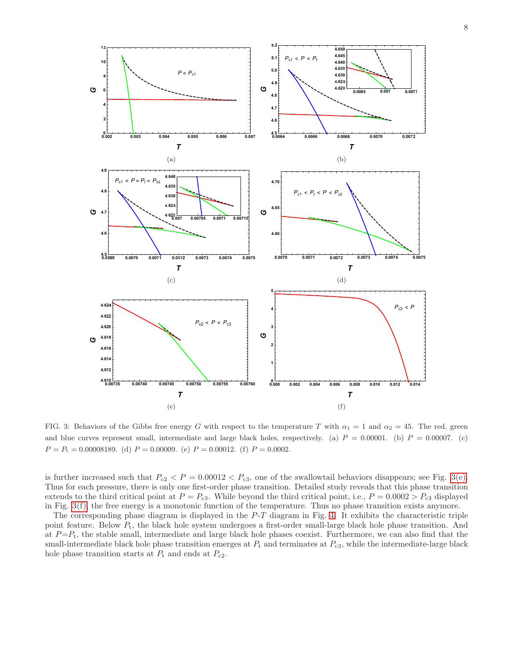<span id="page-7-2"></span><span id="page-7-1"></span>

<span id="page-7-6"></span><span id="page-7-5"></span><span id="page-7-4"></span><span id="page-7-3"></span><span id="page-7-0"></span>FIG. 3: Behaviors of the Gibbs free energy G with respect to the temperature T with  $\alpha_1 = 1$  and  $\alpha_2 = 45$ . The red, green and blue curves represent small, intermediate and large black holes, respectively. (a)  $P = 0.00001$ . (b)  $P = 0.00007$ . (c)  $P = P<sub>t</sub> = 0.00008189.$  (d)  $P = 0.00009.$  (e)  $P = 0.00012.$  (f)  $P = 0.0002.$ 

is further increased such that  $P_{c2} < P = 0.00012 < P_{c3}$ , one of the swallowtail behaviors disappears; see Fig. [3\(e\).](#page-7-5) Thus for each pressure, there is only one first-order phase transition. Detailed study reveals that this phase transition extends to the third critical point at  $P = P_{c3}$ . While beyond the third critical point, i.e.,  $P = 0.0002 > P_{c3}$  displayed in Fig. [3\(f\),](#page-7-6) the free energy is a monotonic function of the temperature. Thus no phase transition exists anymore.

The corresponding phase diagram is displayed in the  $P$ -T diagram in Fig. [4.](#page-8-0) It exhibits the characteristic triple point feature. Below  $P_t$ , the black hole system undergoes a first-order small-large black hole phase transition. And at  $P=P_t$ , the stable small, intermediate and large black hole phases coexist. Furthermore, we can also find that the small-intermediate black hole phase transition emerges at  $P_t$  and terminates at  $P_{c3}$ , while the intermediate-large black hole phase transition starts at  $P_t$  and ends at  $P_{c2}$ .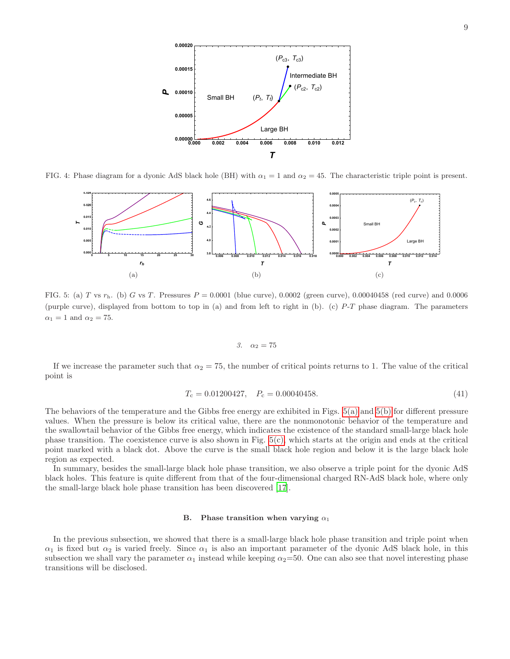

<span id="page-8-1"></span>FIG. 4: Phase diagram for a dyonic AdS black hole (BH) with  $\alpha_1 = 1$  and  $\alpha_2 = 45$ . The characteristic triple point is present.

<span id="page-8-0"></span>

FIG. 5: (a) T vs r<sub>h</sub>. (b) G vs T. Pressures  $P = 0.0001$  (blue curve), 0.0002 (green curve), 0.00040458 (red curve) and 0.0006 (purple curve), displayed from bottom to top in (a) and from left to right in (b). (c) P-T phase diagram. The parameters  $\alpha_1 = 1$  and  $\alpha_2 = 75$ .

<span id="page-8-3"></span><span id="page-8-2"></span>
$$
3. \quad \alpha_2 = 75
$$

If we increase the parameter such that  $\alpha_2 = 75$ , the number of critical points returns to 1. The value of the critical point is

$$
T_{\rm c} = 0.01200427, \quad P_{\rm c} = 0.00040458. \tag{41}
$$

The behaviors of the temperature and the Gibbs free energy are exhibited in Figs. [5\(a\)](#page-8-1) and [5\(b\)](#page-8-2) for different pressure values. When the pressure is below its critical value, there are the nonmonotonic behavior of the temperature and the swallowtail behavior of the Gibbs free energy, which indicates the existence of the standard small-large black hole phase transition. The coexistence curve is also shown in Fig.  $5(c)$ , which starts at the origin and ends at the critical point marked with a black dot. Above the curve is the small black hole region and below it is the large black hole region as expected.

In summary, besides the small-large black hole phase transition, we also observe a triple point for the dyonic AdS black holes. This feature is quite different from that of the four-dimensional charged RN-AdS black hole, where only the small-large black hole phase transition has been discovered [\[17\]](#page-15-10).

### B. Phase transition when varying  $\alpha_1$

In the previous subsection, we showed that there is a small-large black hole phase transition and triple point when  $\alpha_1$  is fixed but  $\alpha_2$  is varied freely. Since  $\alpha_1$  is also an important parameter of the dyonic AdS black hole, in this subsection we shall vary the parameter  $\alpha_1$  instead while keeping  $\alpha_2=50$ . One can also see that novel interesting phase transitions will be disclosed.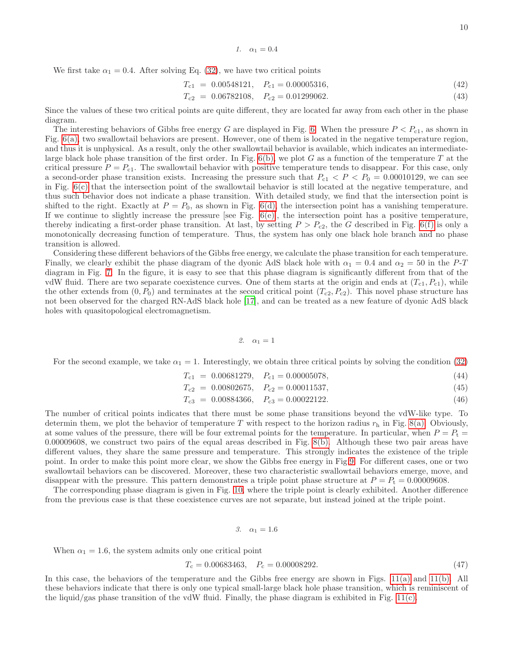We first take  $\alpha_1 = 0.4$ . After solving Eq. [\(32\)](#page-4-2), we have two critical points

$$
T_{c1} = 0.00548121, \quad P_{c1} = 0.00005316,\tag{42}
$$

$$
T_{c2} = 0.06782108, \quad P_{c2} = 0.01299062. \tag{43}
$$

Since the values of these two critical points are quite different, they are located far away from each other in the phase diagram.

The interesting behaviors of Gibbs free energy G are displayed in Fig. [6.](#page-10-1) When the pressure  $P < P_{c1}$ , as shown in Fig. [6\(a\),](#page-10-2) two swallowtail behaviors are present. However, one of them is located in the negative temperature region, and thus it is unphysical. As a result, only the other swallowtail behavior is available, which indicates an intermediatelarge black hole phase transition of the first order. In Fig.  $6(b)$ , we plot G as a function of the temperature T at the critical pressure  $P = P_{c1}$ . The swallowtail behavior with positive temperature tends to disappear. For this case, only a second-order phase transition exists. Increasing the pressure such that  $P_{c1} < P < P_0 = 0.00010129$ , we can see in Fig. [6\(c\)](#page-10-4) that the intersection point of the swallowtail behavior is still located at the negative temperature, and thus such behavior does not indicate a phase transition. With detailed study, we find that the intersection point is shifted to the right. Exactly at  $P = P_0$ , as shown in Fig. [6\(d\),](#page-10-5) the intersection point has a vanishing temperature. If we continue to slightly increase the pressure [see Fig.  $6(e)$ ], the intersection point has a positive temperature, thereby indicating a first-order phase transition. At last, by setting  $P > P_{c2}$ , the G described in Fig. [6\(f\)](#page-10-7) is only a monotonically decreasing function of temperature. Thus, the system has only one black hole branch and no phase transition is allowed.

Considering these different behaviors of the Gibbs free energy, we calculate the phase transition for each temperature. Finally, we clearly exhibit the phase diagram of the dyonic AdS black hole with  $\alpha_1 = 0.4$  and  $\alpha_2 = 50$  in the P-T diagram in Fig. [7.](#page-11-0) In the figure, it is easy to see that this phase diagram is significantly different from that of the vdW fluid. There are two separate coexistence curves. One of them starts at the origin and ends at  $(T_{c1}, P_{c1})$ , while the other extends from  $(0, P_0)$  and terminates at the second critical point  $(T_{c2}, P_{c2})$ . This novel phase structure has not been observed for the charged RN-AdS black hole [\[17\]](#page-15-10), and can be treated as a new feature of dyonic AdS black holes with quasitopological electromagnetism.

$$
2. \quad \alpha_1=1
$$

For the second example, we take  $\alpha_1 = 1$ . Interestingly, we obtain three critical points by solving the condition [\(32\)](#page-4-2)

$$
T_{c1} = 0.00681279, \quad P_{c1} = 0.00005078,\tag{44}
$$

$$
T_{c2} = 0.00802675, \quad P_{c2} = 0.00011537,\tag{45}
$$

$$
T_{c3} = 0.00884366, \quad P_{c3} = 0.00022122. \tag{46}
$$

The number of critical points indicates that there must be some phase transitions beyond the vdW-like type. To determin them, we plot the behavior of temperature T with respect to the horizon radius  $r<sub>h</sub>$  in Fig. [8\(a\).](#page-11-1) Obviously, at some values of the pressure, there will be four extremal points for the temperature. In particular, when  $P = P_t =$ 0.00009608, we construct two pairs of the equal areas described in Fig. [8\(b\).](#page-11-2) Although these two pair areas have different values, they share the same pressure and temperature. This strongly indicates the existence of the triple point. In order to make this point more clear, we show the Gibbs free energy in Fig[.9.](#page-12-0) For different cases, one or two swallowtail behaviors can be discovered. Moreover, these two characteristic swallowtail behaviors emerge, move, and disappear with the pressure. This pattern demonstrates a triple point phase structure at  $P = P_t = 0.00009608$ .

The corresponding phase diagram is given in Fig. [10,](#page-13-0) where the triple point is clearly exhibited. Another difference from the previous case is that these coexistence curves are not separate, but instead joined at the triple point.

$$
3. \quad \alpha_1 = 1.6
$$

When  $\alpha_1 = 1.6$ , the system admits only one critical point

$$
T_{\rm c} = 0.00683463, \quad P_{\rm c} = 0.00008292. \tag{47}
$$

In this case, the behaviors of the temperature and the Gibbs free energy are shown in Figs. [11\(a\)](#page-13-1) and [11\(b\).](#page-13-2) All these behaviors indicate that there is only one typical small-large black hole phase transition, which is reminiscent of the liquid/gas phase transition of the vdW fluid. Finally, the phase diagram is exhibited in Fig.  $11(c)$ .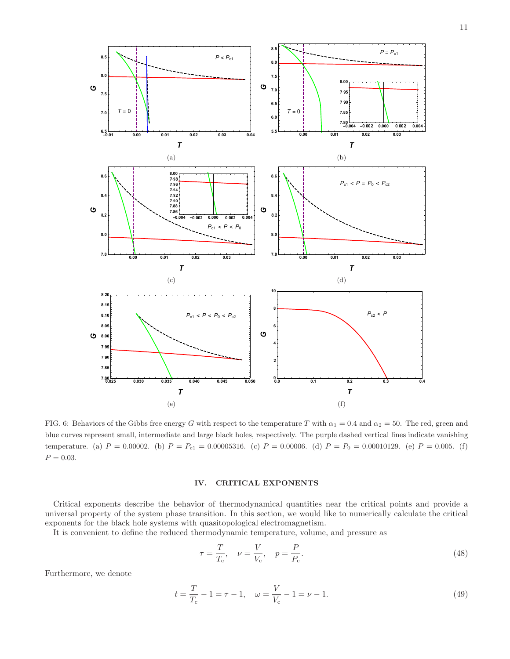<span id="page-10-3"></span><span id="page-10-2"></span>

<span id="page-10-6"></span><span id="page-10-4"></span><span id="page-10-1"></span>FIG. 6: Behaviors of the Gibbs free energy G with respect to the temperature T with  $\alpha_1 = 0.4$  and  $\alpha_2 = 50$ . The red, green and blue curves represent small, intermediate and large black holes, respectively. The purple dashed vertical lines indicate vanishing temperature. (a)  $P = 0.00002$ . (b)  $P = P_{c1} = 0.00005316$ . (c)  $P = 0.00006$ . (d)  $P = P_0 = 0.00010129$ . (e)  $P = 0.005$ . (f)  $P = 0.03$ .

### <span id="page-10-7"></span><span id="page-10-5"></span><span id="page-10-0"></span>IV. CRITICAL EXPONENTS

Critical exponents describe the behavior of thermodynamical quantities near the critical points and provide a universal property of the system phase transition. In this section, we would like to numerically calculate the critical exponents for the black hole systems with quasitopological electromagnetism.

It is convenient to define the reduced thermodynamic temperature, volume, and pressure as

<span id="page-10-8"></span>
$$
\tau = \frac{T}{T_{\rm c}}, \quad \nu = \frac{V}{V_{\rm c}}, \quad p = \frac{P}{P_{\rm c}}.\tag{48}
$$

Furthermore, we denote

<span id="page-10-9"></span>
$$
t = \frac{T}{T_{\rm c}} - 1 = \tau - 1, \quad \omega = \frac{V}{V_{\rm c}} - 1 = \nu - 1.
$$
\n(49)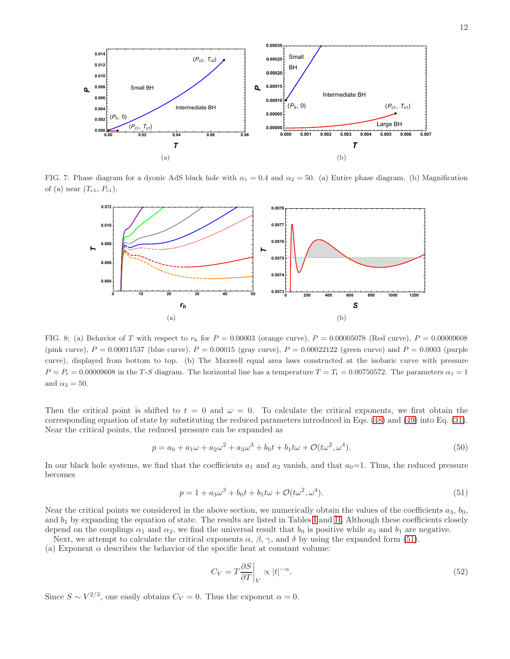

<span id="page-11-1"></span>FIG. 7: Phase diagram for a dyonic AdS black hole with  $\alpha_1 = 0.4$  and  $\alpha_2 = 50$ . (a) Entire phase diagram. (b) Magnification of (a) near  $(T_{c1}, P_{c1})$ .

<span id="page-11-0"></span>

FIG. 8: (a) Behavior of T with respect to  $r<sub>h</sub>$  for  $P = 0.00003$  (orange curve),  $P = 0.00005078$  (Red curve),  $P = 0.00009608$ (pink curve),  $P = 0.00011537$  (blue curve),  $P = 0.00015$  (gray curve),  $P = 0.00022122$  (green curve) and  $P = 0.0003$  (purple curve), displayed from bottom to top. (b) The Maxwell equal area laws constructed at the isobaric curve with pressure  $P = P_t = 0.00009608$  in the T-S diagram. The horizontal line has a temperature  $T = T_t = 0.00750572$ . The parameters  $\alpha_1 = 1$ and  $\alpha_2 = 50$ .

Then the critical point is shifted to  $t = 0$  and  $\omega = 0$ . To calculate the critical exponents, we first obtain the corresponding equation of state by substituting the reduced parameters introduced in Eqs.  $(48)$  and  $(49)$  into Eq.  $(31)$ . Near the critical points, the reduced pressure can be expanded as

<span id="page-11-2"></span>
$$
p = a_0 + a_1\omega + a_2\omega^2 + a_3\omega^3 + b_0t + b_1t\omega + \mathcal{O}(t\omega^2, \omega^4). \tag{50}
$$

In our black hole systems, we find that the coefficients  $a_1$  and  $a_2$  vanish, and that  $a_0=1$ . Thus, the reduced pressure becomes

<span id="page-11-3"></span>
$$
p = 1 + a_3 \omega^3 + b_0 t + b_1 t \omega + \mathcal{O}(t \omega^2, \omega^4).
$$
\n(51)

Near the critical points we considered in the above section, we numerically obtain the values of the coefficients  $a_3, b_0$ , and  $b_1$  by expanding the equation of state. The results are listed in Tables I and II. Although these coefficients closely depend on the couplings  $\alpha_1$  and  $\alpha_2$ , we find the universal result that  $b_0$  is positive while  $a_3$  and  $b_1$  are negative.

Next, we attempt to calculate the critical exponents  $\alpha$ ,  $\beta$ ,  $\gamma$ , and  $\delta$  by using the expanded form (51).

(a) Exponent  $\alpha$  describes the behavior of the specific heat at constant volume:

$$
C_V = T \frac{\partial S}{\partial T}\bigg|_V \propto |t|^{-\alpha}.\tag{52}
$$

Since  $S \sim V^{2/3}$ , one easily obtains  $C_V = 0$ . Thus the exponent  $\alpha = 0$ .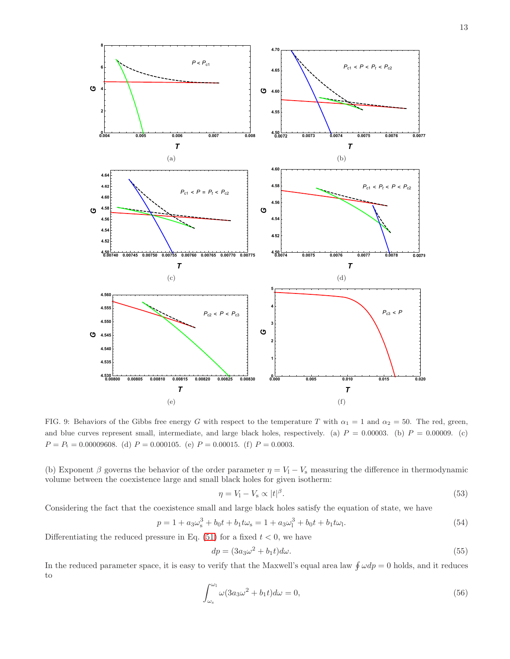

<span id="page-12-0"></span>FIG. 9: Behaviors of the Gibbs free energy G with respect to the temperature T with  $\alpha_1 = 1$  and  $\alpha_2 = 50$ . The red, green, and blue curves represent small, intermediate, and large black holes, respectively. (a)  $P = 0.00003$ . (b)  $P = 0.00009$ . (c)  $P = P_t = 0.00009608.$  (d)  $P = 0.000105.$  (e)  $P = 0.00015.$  (f)  $P = 0.0003.$ 

(b) Exponent  $\beta$  governs the behavior of the order parameter  $\eta = V_1 - V_s$  measuring the difference in thermodynamic volume between the coexistence large and small black holes for given isotherm:

$$
\eta = V_1 - V_s \propto |t|^{\beta}.\tag{53}
$$

Considering the fact that the coexistence small and large black holes satisfy the equation of state, we have

<span id="page-12-1"></span>
$$
p = 1 + a_3 \omega_s^3 + b_0 t + b_1 t \omega_s = 1 + a_3 \omega_1^3 + b_0 t + b_1 t \omega_1.
$$
\n
$$
(54)
$$

Differentiating the reduced pressure in Eq.  $(51)$  for a fixed  $t < 0$ , we have

$$
dp = (3a_3\omega^2 + b_1t)d\omega.
$$
\n<sup>(55)</sup>

In the reduced parameter space, it is easy to verify that the Maxwell's equal area law  $\oint \omega dp = 0$  holds, and it reduces to

<span id="page-12-2"></span>
$$
\int_{\omega_{\rm s}}^{\omega_1} \omega (3a_3 \omega^2 + b_1 t) d\omega = 0,\tag{56}
$$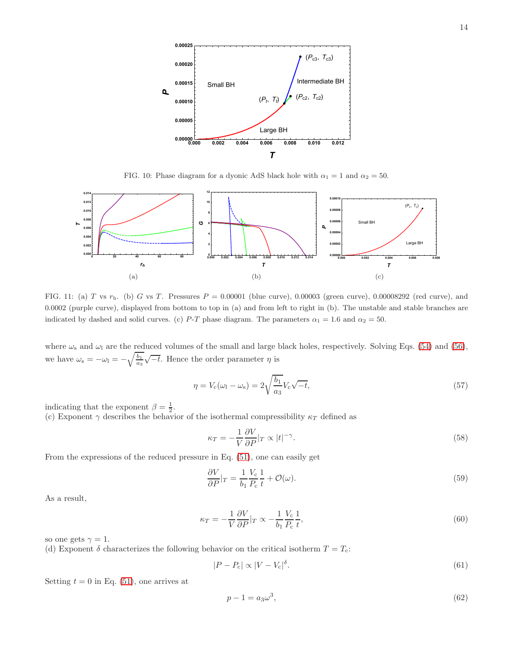

<span id="page-13-2"></span><span id="page-13-0"></span>FIG. 10: Phase diagram for a dyonic AdS black hole with  $\alpha_1 = 1$  and  $\alpha_2 = 50$ .

<span id="page-13-1"></span>

FIG. 11: (a) T vs  $r<sub>h</sub>$ . (b) G vs T. Pressures  $P = 0.00001$  (blue curve), 0.00003 (green curve), 0.00008292 (red curve), and 0.0002 (purple curve), displayed from bottom to top in (a) and from left to right in (b). The unstable and stable branches are indicated by dashed and solid curves. (c) P-T phase diagram. The parameters  $\alpha_1 = 1.6$  and  $\alpha_2 = 50$ .

where  $\omega_s$  and  $\omega_l$  are the reduced volumes of the small and large black holes, respectively. Solving Eqs. [\(54\)](#page-12-1) and [\(56\)](#page-12-2), we have  $\omega_s = -\omega_l = -\sqrt{\frac{b_1}{a_3}}\sqrt{-t}$ . Hence the order parameter  $\eta$  is

<span id="page-13-3"></span>
$$
\eta = V_c(\omega_1 - \omega_s) = 2\sqrt{\frac{b_1}{a_3}}V_c\sqrt{-t},\qquad(57)
$$

indicating that the exponent  $\beta = \frac{1}{2}$ .

(c) Exponent  $\gamma$  describes the behavior of the isothermal compressibility  $\kappa_T$  defined as

$$
\kappa_T = -\frac{1}{V} \frac{\partial V}{\partial P}|_T \propto |t|^{-\gamma}.
$$
\n(58)

From the expressions of the reduced pressure in Eq. [\(51\)](#page-11-3), one can easily get

$$
\frac{\partial V}{\partial P}|_T = \frac{1}{b_1} \frac{V_c}{P_c} \frac{1}{t} + \mathcal{O}(\omega). \tag{59}
$$

As a result,

$$
\kappa_T = -\frac{1}{V} \frac{\partial V}{\partial P}|_T \propto -\frac{1}{b_1} \frac{V_c}{P_c} \frac{1}{t},\tag{60}
$$

so one gets  $\gamma = 1$ .

(d) Exponent  $\delta$  characterizes the following behavior on the critical isotherm  $T = T_c$ :

$$
|P - P_{\rm c}| \propto |V - V_{\rm c}|^{\delta}.
$$
\n(61)

Setting  $t = 0$  in Eq. [\(51\)](#page-11-3), one arrives at

$$
p - 1 = a_3 \omega^3,\tag{62}
$$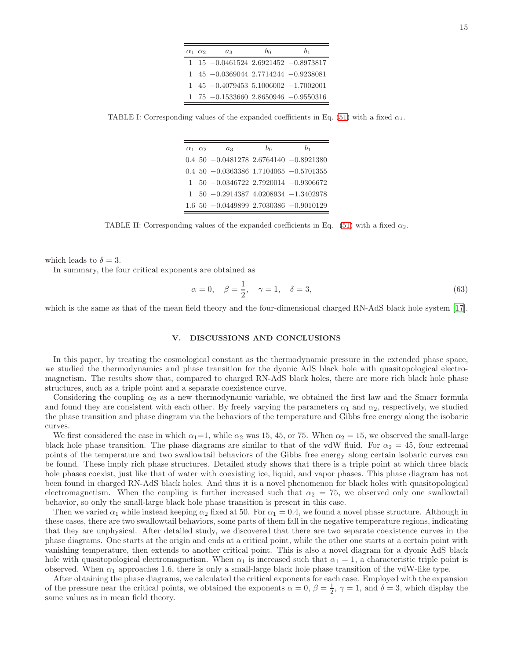| $\alpha_1$ $\alpha_2$ | $a_3$                                                      | bo | b1 |
|-----------------------|------------------------------------------------------------|----|----|
|                       | $1\quad15$ $-0.0461524$ $2.6921452$ $-0.8973817$           |    |    |
|                       | $1\quad 45\quad -0.0369044\; 2.7714244\; -0.9238081$       |    |    |
|                       | $1\quad 45\quad -0.4079453\; 5.1006002\; -1.7002001$       |    |    |
|                       | $1\quad 75\quad -0.1533660\quad 2.8650946\quad -0.9550316$ |    |    |

<span id="page-14-1"></span>TABLE I: Corresponding values of the expanded coefficients in Eq. [\(51\)](#page-11-3) with a fixed  $\alpha_1$ .

| $\alpha_1 \alpha_2$ | $a_3$                                                | b <sub>0</sub> | b1 |
|---------------------|------------------------------------------------------|----------------|----|
|                     | $0.4$ 50 $-0.0481278$ 2.6764140 $-0.8921380$         |                |    |
|                     | $0.4\ 50\ -0.0363386\ 1.7104065\ -0.5701355$         |                |    |
|                     | $1\quad 50\quad -0.0346722\; 2.7920014\; -0.9306672$ |                |    |
|                     | $1\quad 50\quad -0.2914387\ 4.0208934\ -1.3402978$   |                |    |
|                     | $1.6$ 50 $-0.0449899$ 2.7030386 $-0.9010129$         |                |    |

<span id="page-14-2"></span>TABLE II: Corresponding values of the expanded coefficients in Eq.  $(51)$  with a fixed  $\alpha_2$ .

which leads to  $\delta = 3$ .

In summary, the four critical exponents are obtained as

$$
\alpha = 0, \quad \beta = \frac{1}{2}, \quad \gamma = 1, \quad \delta = 3,
$$
\n(63)

which is the same as that of the mean field theory and the four-dimensional charged RN-AdS black hole system [\[17\]](#page-15-10).

### <span id="page-14-0"></span>V. DISCUSSIONS AND CONCLUSIONS

In this paper, by treating the cosmological constant as the thermodynamic pressure in the extended phase space, we studied the thermodynamics and phase transition for the dyonic AdS black hole with quasitopological electromagnetism. The results show that, compared to charged RN-AdS black holes, there are more rich black hole phase structures, such as a triple point and a separate coexistence curve.

Considering the coupling  $\alpha_2$  as a new thermodynamic variable, we obtained the first law and the Smarr formula and found they are consistent with each other. By freely varying the parameters  $\alpha_1$  and  $\alpha_2$ , respectively, we studied the phase transition and phase diagram via the behaviors of the temperature and Gibbs free energy along the isobaric curves.

We first considered the case in which  $\alpha_1=1$ , while  $\alpha_2$  was 15, 45, or 75. When  $\alpha_2=15$ , we observed the small-large black hole phase transition. The phase diagrams are similar to that of the vdW fluid. For  $\alpha_2 = 45$ , four extremal points of the temperature and two swallowtail behaviors of the Gibbs free energy along certain isobaric curves can be found. These imply rich phase structures. Detailed study shows that there is a triple point at which three black hole phases coexist, just like that of water with coexisting ice, liquid, and vapor phases. This phase diagram has not been found in charged RN-AdS black holes. And thus it is a novel phenomenon for black holes with quasitopological electromagnetism. When the coupling is further increased such that  $\alpha_2 = 75$ , we observed only one swallowtail behavior, so only the small-large black hole phase transition is present in this case.

Then we varied  $\alpha_1$  while instead keeping  $\alpha_2$  fixed at 50. For  $\alpha_1 = 0.4$ , we found a novel phase structure. Although in these cases, there are two swallowtail behaviors, some parts of them fall in the negative temperature regions, indicating that they are unphysical. After detailed study, we discovered that there are two separate coexistence curves in the phase diagrams. One starts at the origin and ends at a critical point, while the other one starts at a certain point with vanishing temperature, then extends to another critical point. This is also a novel diagram for a dyonic AdS black hole with quasitopological electromagnetism. When  $\alpha_1$  is increased such that  $\alpha_1 = 1$ , a characteristic triple point is observed. When  $\alpha_1$  approaches 1.6, there is only a small-large black hole phase transition of the vdW-like type.

After obtaining the phase diagrams, we calculated the critical exponents for each case. Employed with the expansion of the pressure near the critical points, we obtained the exponents  $\alpha = 0$ ,  $\beta = \frac{1}{2}$ ,  $\gamma = 1$ , and  $\delta = 3$ , which display the same values as in mean field theory.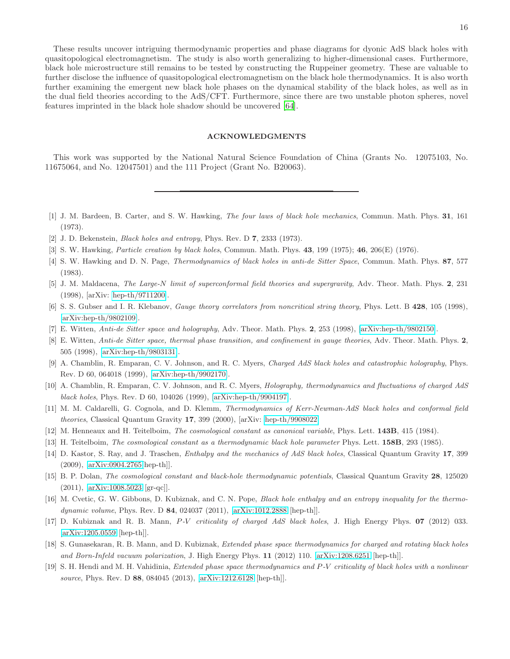These results uncover intriguing thermodynamic properties and phase diagrams for dyonic AdS black holes with quasitopological electromagnetism. The study is also worth generalizing to higher-dimensional cases. Furthermore, black hole microstructure still remains to be tested by constructing the Ruppeiner geometry. These are valuable to further disclose the influence of quasitopological electromagnetism on the black hole thermodynamics. It is also worth further examining the emergent new black hole phases on the dynamical stability of the black holes, as well as in the dual field theories according to the AdS/CFT. Furthermore, since there are two unstable photon spheres, novel features imprinted in the black hole shadow should be uncovered [\[64\]](#page-17-16).

### ACKNOWLEDGMENTS

This work was supported by the National Natural Science Foundation of China (Grants No. 12075103, No. 11675064, and No. 12047501) and the 111 Project (Grant No. B20063).

- <span id="page-15-0"></span>[1] J. M. Bardeen, B. Carter, and S. W. Hawking, *The four laws of black hole mechanics*, Commun. Math. Phys. 31, 161 (1973).
- [2] J. D. Bekenstein, *Black holes and entropy*, Phys. Rev. D 7, 2333 (1973).
- <span id="page-15-1"></span>[3] S. W. Hawking, *Particle creation by black holes*, Commun. Math. Phys. 43, 199 (1975); 46, 206(E) (1976).
- <span id="page-15-2"></span>[4] S. W. Hawking and D. N. Page, *Thermodynamics of black holes in anti-de Sitter Space*, Commun. Math. Phys. 87, 577 (1983).
- <span id="page-15-3"></span>[5] J. M. Maldacena, *The Large-*N *limit of superconformal field theories and supergravity*, Adv. Theor. Math. Phys. 2, 231 (1998), [arXiv: [hep-th/9711200\]](http://arxiv.org/abs/hep-th/9711200).
- [6] S. S. Gubser and I. R. Klebanov, *Gauge theory correlators from noncritical string theory*, Phys. Lett. B 428, 105 (1998), [\[arXiv:hep-th/9802109\]](http://arxiv.org/abs/hep-th/9802109).
- <span id="page-15-4"></span>[7] E. Witten, *Anti-de Sitter space and holography*, Adv. Theor. Math. Phys. 2, 253 (1998), [\[arXiv:hep-th/9802150\]](http://arxiv.org/abs/hep-th/9802150).
- <span id="page-15-5"></span>[8] E. Witten, *Anti-de Sitter space, thermal phase transition, and confinement in gauge theories*, Adv. Theor. Math. Phys. 2, 505 (1998), [\[arXiv:hep-th/9803131\]](http://arxiv.org/abs/hep-th/9803131).
- <span id="page-15-6"></span>[9] A. Chamblin, R. Emparan, C. V. Johnson, and R. C. Myers, *Charged AdS black holes and catastrophic holography*, Phys. Rev. D 60, 064018 (1999), [\[arXiv:hep-th/9902170\]](http://arxiv.org/abs/hep-th/9902170).
- [10] A. Chamblin, R. Emparan, C. V. Johnson, and R. C. Myers, *Holography, thermodynamics and fluctuations of charged AdS black holes*, Phys. Rev. D 60, 104026 (1999), [\[arXiv:hep-th/9904197\]](http://arxiv.org/abs/hep-th/9904197).
- <span id="page-15-7"></span>[11] M. M. Caldarelli, G. Cognola, and D. Klemm, *Thermodynamics of Kerr-Newman-AdS black holes and conformal field theories*, Classical Quantum Gravity 17, 399 (2000), [arXiv: [hep-th/9908022\]](http://arxiv.org/abs/hep-th/9908022)
- <span id="page-15-8"></span>[12] M. Henneaux and H. Teitelboim, *The cosmological constant as canonical variable*, Phys. Lett. 143B, 415 (1984).
- [13] H. Teitelboim, *The cosmological constant as a thermodynamic black hole parameter* Phys. Lett. 158B, 293 (1985).
- <span id="page-15-12"></span>[14] D. Kastor, S. Ray, and J. Traschen, *Enthalpy and the mechanics of AdS black holes*, Classical Quantum Gravity 17, 399 (2009), [\[arXiv:0904.2765\[](http://arxiv.org/abs/0904.2765)hep-th]].
- [15] B. P. Dolan, *The cosmological constant and black-hole thermodynamic potentials*, Classical Quantum Gravity 28, 125020 (2011), [\[arXiv:1008.5023](http://arxiv.org/abs/1008.5023) [gr-qc]].
- <span id="page-15-9"></span>[16] M. Cvetic, G. W. Gibbons, D. Kubiznak, and C. N. Pope, *Black hole enthalpy and an entropy inequality for the thermodynamic volume*, Phys. Rev. D 84, 024037 (2011), [\[arXiv:1012.2888](http://arxiv.org/abs/1012.2888) [hep-th]].
- <span id="page-15-10"></span>[17] D. Kubiznak and R. B. Mann, P*-*V *criticality of charged AdS black holes*, J. High Energy Phys. 07 (2012) 033. [\[arXiv:1205.0559](http://arxiv.org/abs/1205.0559) [hep-th]].
- <span id="page-15-11"></span>[18] S. Gunasekaran, R. B. Mann, and D. Kubiznak, *Extended phase space thermodynamics for charged and rotating black holes and Born-Infeld vacuum polarization*, J. High Energy Phys. 11 (2012) 110. [\[arXiv:1208.6251](http://arxiv.org/abs/1208.6251) [hep-th]].
- [19] S. H. Hendi and M. H. Vahidinia, *Extended phase space thermodynamics and* P*-*V *criticality of black holes with a nonlinear source*, Phys. Rev. D 88, 084045 (2013), [\[arXiv:1212.6128](http://arxiv.org/abs/1212.6128) [hep-th]].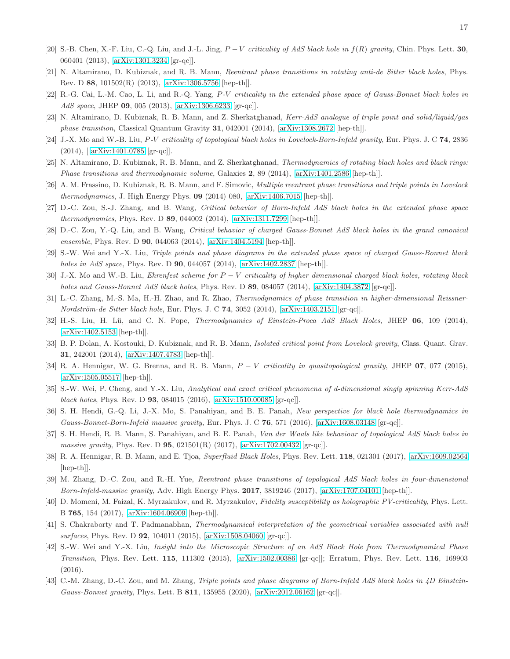- [20] S.-B. Chen, X.-F. Liu, C.-Q. Liu, and J.-L. Jing, P − V *criticality of AdS black hole in* f(R) *gravity*, Chin. Phys. Lett. 30, 060401 (2013), [\[arXiv:1301.3234](http://arxiv.org/abs/1301.3234) [gr-qc]].
- [21] N. Altamirano, D. Kubiznak, and R. B. Mann, *Reentrant phase transitions in rotating anti-de Sitter black holes*, Phys. Rev. D 88, 101502(R) (2013), [\[arXiv:1306.5756](http://arxiv.org/abs/1306.5756) [hep-th]].
- [22] R.-G. Cai, L.-M. Cao, L. Li, and R.-Q. Yang, P*-*V *criticality in the extended phase space of Gauss-Bonnet black holes in AdS space*, JHEP 09, 005 (2013), [\[arXiv:1306.6233](http://arxiv.org/abs/1306.6233) [gr-qc]].
- [23] N. Altamirano, D. Kubiznak, R. B. Mann, and Z. Sherkatghanad, *Kerr-AdS analogue of triple point and solid/liquid/gas phase transition*, Classical Quantum Gravity 31, 042001 (2014), [\[arXiv:1308.2672](http://arxiv.org/abs/1308.2672) [hep-th]].
- [24] J.-X. Mo and W.-B. Liu, P*-*V *criticality of topological black holes in Lovelock-Born-Infeld gravity*, Eur. Phys. J. C 74, 2836 (2014),[ [arXiv:1401.0785](http://arxiv.org/abs/1401.0785) [gr-qc]].
- [25] N. Altamirano, D. Kubiznak, R. B. Mann, and Z. Sherkatghanad, *Thermodynamics of rotating black holes and black rings: Phase transitions and thermodynamic volume*, Galaxies 2, 89 (2014), [\[arXiv:1401.2586](http://arxiv.org/abs/1401.2586) [hep-th]].
- [26] A. M. Frassino, D. Kubiznak, R. B. Mann, and F. Simovic, *Multiple reentrant phase transitions and triple points in Lovelock thermodynamics*, J. High Energy Phys. 09 (2014) 080, [\[arXiv:1406.7015](http://arxiv.org/abs/1406.7015) [hep-th]].
- [27] D.-C. Zou, S.-J. Zhang, and B. Wang, *Critical behavior of Born-Infeld AdS black holes in the extended phase space thermodynamics*, Phys. Rev. D 89, 044002 (2014), [\[arXiv:1311.7299](http://arxiv.org/abs/1311.7299) [hep-th]].
- [28] D.-C. Zou, Y.-Q. Liu, and B. Wang, *Critical behavior of charged Gauss-Bonnet AdS black holes in the grand canonical ensemble*, Phys. Rev. D 90, 044063 (2014), [\[arXiv:1404.5194](http://arxiv.org/abs/1404.5194) [hep-th]].
- <span id="page-16-1"></span>[29] S.-W. Wei and Y.-X. Liu, *Triple points and phase diagrams in the extended phase space of charged Gauss-Bonnet black holes in AdS space*, Phys. Rev. D 90, 044057 (2014), [\[arXiv:1402.2837](http://arxiv.org/abs/1402.2837) [hep-th]].
- [30] J.-X. Mo and W.-B. Liu, *Ehrenfest scheme for* P − V *criticality of higher dimensional charged black holes, rotating black holes and Gauss-Bonnet AdS black holes*, Phys. Rev. D 89, 084057 (2014), [\[arXiv:1404.3872](http://arxiv.org/abs/1404.3872) [gr-qc]].
- [31] L.-C. Zhang, M.-S. Ma, H.-H. Zhao, and R. Zhao, *Thermodynamics of phase transition in higher-dimensional Reissner-Nordström-de Sitter black hole*, Eur. Phys. J. C **74**, 3052 (2014), [\[arXiv:1403.2151](http://arxiv.org/abs/1403.2151) [gr-qc]].
- [32] H.-S. Liu, H. Lü, and C. N. Pope, *Thermodynamics of Einstein-Proca AdS Black Holes*, JHEP 06, 109 (2014), [\[arXiv:1402.5153](http://arxiv.org/abs/1402.5153) [hep-th]].
- [33] B. P. Dolan, A. Kostouki, D. Kubiznak, and R. B. Mann, *Isolated critical point from Lovelock gravity*, Class. Quant. Grav. 31, 242001 (2014), [\[arXiv:1407.4783](http://arxiv.org/abs/1407.4783) [hep-th]].
- [34] R. A. Hennigar, W. G. Brenna, and R. B. Mann, P − V *criticality in quasitopological gravity*, JHEP 07, 077 (2015), [\[arXiv:1505.05517](http://arxiv.org/abs/1505.05517) [hep-th]].
- [35] S.-W. Wei, P. Cheng, and Y.-X. Liu, *Analytical and exact critical phenomena of d-dimensional singly spinning Kerr-AdS black holes*, Phys. Rev. D 93, 084015 (2016), [\[arXiv:1510.00085](http://arxiv.org/abs/1510.00085) [gr-qc]].
- [36] S. H. Hendi, G.-Q. Li, J.-X. Mo, S. Panahiyan, and B. E. Panah, *New perspective for black hole thermodynamics in Gauss-Bonnet-Born-Infeld massive gravity*, Eur. Phys. J. C 76, 571 (2016), [\[arXiv:1608.03148](http://arxiv.org/abs/1608.03148) [gr-qc]].
- [37] S. H. Hendi, R. B. Mann, S. Panahiyan, and B. E. Panah, *Van der Waals like behaviour of topological AdS black holes in massive gravity*, Phys. Rev. D 95, 021501(R) (2017), [\[arXiv:1702.00432](http://arxiv.org/abs/1702.00432) [gr-qc]].
- [38] R. A. Hennigar, R. B. Mann, and E. Tjoa, *Superfluid Black Holes*, Phys. Rev. Lett. 118, 021301 (2017), [\[arXiv:1609.02564](http://arxiv.org/abs/1609.02564) [hep-th]].
- [39] M. Zhang, D.-C. Zou, and R.-H. Yue, *Reentrant phase transitions of topological AdS black holes in four-dimensional Born-Infeld-massive gravity*, Adv. High Energy Phys. 2017, 3819246 (2017), [\[arXiv:1707.04101](http://arxiv.org/abs/1707.04101) [hep-th]].
- [40] D. Momeni, M. Faizal, K. Myrzakulov, and R. Myrzakulov, *Fidelity susceptibility as holographic PV-criticality*, Phys. Lett. B 765, 154 (2017), [\[arXiv:1604.06909](http://arxiv.org/abs/1604.06909) [hep-th]].
- [41] S. Chakraborty and T. Padmanabhan, *Thermodynamical interpretation of the geometrical variables associated with null surfaces*, Phys. Rev. D 92, 104011 (2015), [\[arXiv:1508.04060](http://arxiv.org/abs/1508.04060) [gr-qc]].
- <span id="page-16-0"></span>[42] S.-W. Wei and Y.-X. Liu, *Insight into the Microscopic Structure of an AdS Black Hole from Thermodynamical Phase Transition*, Phys. Rev. Lett. 115, 111302 (2015), [\[arXiv:1502.00386](http://arxiv.org/abs/1502.00386) [gr-qc]]; Erratum, Phys. Rev. Lett. 116, 169903 (2016).
- [43] C.-M. Zhang, D.-C. Zou, and M. Zhang, *Triple points and phase diagrams of Born-Infeld AdS black holes in 4D Einstein-Gauss-Bonnet gravity*, Phys. Lett. B 811, 135955 (2020), [\[arXiv:2012.06162](http://arxiv.org/abs/2012.06162) [gr-qc]].